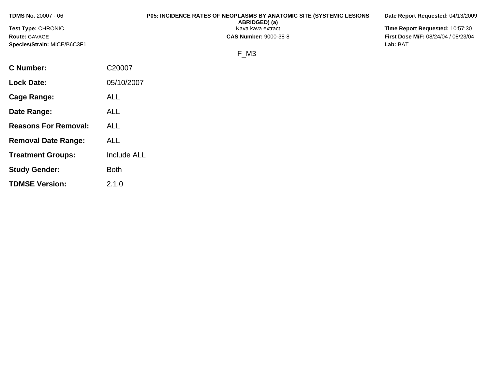| <b>TDMS No. 20007 - 06</b>  |            | <b>P05: INCIDENCE RATES OF NEOPLASMS BY ANATOMIC SITE (SYSTEMIC LESIONS</b><br>ABRIDGED) (a) | Date Report Requested: 04/13/2009          |
|-----------------------------|------------|----------------------------------------------------------------------------------------------|--------------------------------------------|
| <b>Test Type: CHRONIC</b>   |            | Kava kava extract                                                                            | Time Report Requested: 10:57:30            |
| <b>Route: GAVAGE</b>        |            | <b>CAS Number: 9000-38-8</b>                                                                 | <b>First Dose M/F: 08/24/04 / 08/23/04</b> |
| Species/Strain: MICE/B6C3F1 |            |                                                                                              | Lab: BAT                                   |
|                             |            | F M <sub>3</sub>                                                                             |                                            |
| C Number:                   | C20007     |                                                                                              |                                            |
| <b>Lock Date:</b>           | 05/10/2007 |                                                                                              |                                            |

**Cage Range:** ALL

**Date Range:** ALL

**Reasons For Removal:** ALL

**Removal Date Range:** ALL

**Study Gender:** Both

**TDMSE Version:** 2.1.0

**Treatment Groups:** Include ALL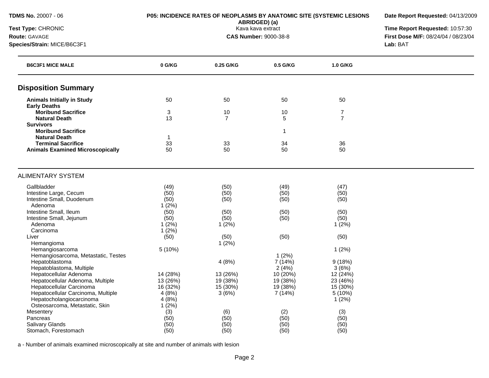| <b>TDMS No. 20007 - 06</b> |
|----------------------------|
|----------------------------|

### **P05: INCIDENCE RATES OF NEOPLASMS BY ANATOMIC SITE (SYSTEMIC LESIONS**

**ABRIDGED) (a)**

**Date Report Requested:** 04/13/2009

**Test Type:** CHRONIC Kava kava extract **Time Report Requested:** 10:57:30 **Route:** GAVAGE **CAS Number:** 9000-38-8 **First Dose M/F:** 08/24/04 / 08/23/04 **Species/Strain:** MICE/B6C3F1 **Lab:** BAT

| <b>B6C3F1 MICE MALE</b>                 | 0 G/KG       | 0.25 G/KG      | 0.5 G/KG     | 1.0 G/KG       |  |
|-----------------------------------------|--------------|----------------|--------------|----------------|--|
| <b>Disposition Summary</b>              |              |                |              |                |  |
| <b>Animals Initially in Study</b>       | 50           | 50             | 50           | 50             |  |
| <b>Early Deaths</b>                     |              |                |              |                |  |
| <b>Moribund Sacrifice</b>               | 3            | 10             | 10           | $\overline{7}$ |  |
| <b>Natural Death</b>                    | 13           | $\overline{7}$ | 5            | $\overline{7}$ |  |
| <b>Survivors</b>                        |              |                |              |                |  |
| <b>Moribund Sacrifice</b>               |              |                | $\mathbf{1}$ |                |  |
| <b>Natural Death</b>                    | 1            |                |              |                |  |
| <b>Terminal Sacrifice</b>               | 33           | 33             | 34           | 36             |  |
| <b>Animals Examined Microscopically</b> | 50           | 50             | 50           | 50             |  |
|                                         |              |                |              |                |  |
| <b>ALIMENTARY SYSTEM</b>                |              |                |              |                |  |
| Gallbladder                             | (49)         | (50)           | (49)         | (47)           |  |
| Intestine Large, Cecum                  | (50)         | (50)           | (50)         | (50)           |  |
| Intestine Small, Duodenum               | (50)         | (50)           | (50)         | (50)           |  |
| Adenoma                                 | 1(2%)        |                |              |                |  |
| Intestine Small, Ileum                  | (50)         | (50)           | (50)         | (50)           |  |
| Intestine Small, Jejunum                | (50)         | (50)           | (50)         | (50)           |  |
| Adenoma                                 | 1(2%)        | 1(2%)          |              | 1(2%)          |  |
| Carcinoma                               | 1(2%)        |                |              |                |  |
| Liver                                   | (50)         | (50)           | (50)         | (50)           |  |
| Hemangioma                              |              | 1(2%)          |              |                |  |
| Hemangiosarcoma                         | 5(10%)       |                |              | 1(2%)          |  |
| Hemangiosarcoma, Metastatic, Testes     |              |                | 1(2%)        |                |  |
| Hepatoblastoma                          |              | 4(8%)          | 7 (14%)      | 9(18%)         |  |
| Hepatoblastoma, Multiple                |              |                | 2(4%)        | 3(6%)          |  |
| Hepatocellular Adenoma                  | 14 (28%)     | 13 (26%)       | 10 (20%)     | 12 (24%)       |  |
| Hepatocellular Adenoma, Multiple        | 13 (26%)     | 19 (38%)       | 19 (38%)     | 23 (46%)       |  |
| Hepatocellular Carcinoma                | 16 (32%)     | 15 (30%)       | 19 (38%)     | 15 (30%)       |  |
| Hepatocellular Carcinoma, Multiple      | 4(8%)        | 3(6%)          | 7 (14%)      | 5(10%)         |  |
| Hepatocholangiocarcinoma                | 4(8%)        |                |              | 1(2%)          |  |
| Osteosarcoma, Metastatic, Skin          | 1(2%)        |                |              |                |  |
| Mesentery                               | (3)          | (6)            | (2)          | (3)            |  |
| Pancreas                                | (50)         | (50)           | (50)         | (50)           |  |
| Salivary Glands                         | (50)<br>(50) | (50)           | (50)         | (50)           |  |
| Stomach, Forestomach                    |              | (50)           | (50)         | (50)           |  |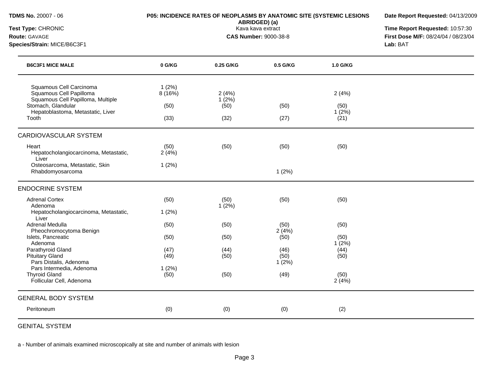| <b>TDMS No. 20007 - 06</b><br>Test Type: CHRONIC                                        | P05: INCIDENCE RATES OF NEOPLASMS BY ANATOMIC SITE (SYSTEMIC LESIONS | Date Report Requested: 04/13/2009<br>Time Report Requested: 10:57:30 |                                     |                       |          |
|-----------------------------------------------------------------------------------------|----------------------------------------------------------------------|----------------------------------------------------------------------|-------------------------------------|-----------------------|----------|
| Route: GAVAGE                                                                           |                                                                      | Kava kava extract<br><b>CAS Number: 9000-38-8</b>                    | First Dose M/F: 08/24/04 / 08/23/04 |                       |          |
| Species/Strain: MICE/B6C3F1                                                             |                                                                      |                                                                      |                                     |                       | Lab: BAT |
| <b>B6C3F1 MICE MALE</b>                                                                 | 0 G/KG                                                               | 0.25 G/KG                                                            | 0.5 G/KG                            | 1.0 G/KG              |          |
| Squamous Cell Carcinoma<br>Squamous Cell Papilloma<br>Squamous Cell Papilloma, Multiple | 1(2%)<br>8(16%)                                                      | 2(4%)<br>$1(2\%)$                                                    |                                     | 2(4%)                 |          |
| Stomach, Glandular<br>Hepatoblastoma, Metastatic, Liver<br>Tooth                        | (50)<br>(33)                                                         | (50)<br>(32)                                                         | (50)<br>(27)                        | (50)<br>1(2%)<br>(21) |          |
|                                                                                         |                                                                      |                                                                      |                                     |                       |          |
| CARDIOVASCULAR SYSTEM                                                                   |                                                                      |                                                                      |                                     |                       |          |
| Heart<br>Hepatocholangiocarcinoma, Metastatic,<br>Liver                                 | (50)<br>2(4%)                                                        | (50)                                                                 | (50)                                | (50)                  |          |
| Osteosarcoma, Metastatic, Skin<br>Rhabdomyosarcoma                                      | 1(2%)                                                                |                                                                      | 1(2%)                               |                       |          |
| <b>ENDOCRINE SYSTEM</b>                                                                 |                                                                      |                                                                      |                                     |                       |          |
| <b>Adrenal Cortex</b><br>Adenoma                                                        | (50)                                                                 | (50)<br>$1(2\%)$                                                     | (50)                                | (50)                  |          |
| Hepatocholangiocarcinoma, Metastatic,<br>Liver                                          | 1(2%)                                                                |                                                                      |                                     |                       |          |
| Adrenal Medulla<br>Pheochromocytoma Benign                                              | (50)                                                                 | (50)                                                                 | (50)<br>2(4%)                       | (50)                  |          |
| Islets, Pancreatic<br>Adenoma                                                           | (50)                                                                 | (50)                                                                 | (50)                                | (50)<br>$1(2\%)$      |          |
| Parathyroid Gland<br><b>Pituitary Gland</b>                                             | (47)<br>(49)                                                         | (44)<br>(50)                                                         | (46)<br>(50)                        | (44)<br>(50)          |          |
| Pars Distalis, Adenoma<br>Pars Intermedia, Adenoma<br><b>Thyroid Gland</b>              | 1(2%)<br>(50)                                                        | (50)                                                                 | 1(2%)<br>(49)                       | (50)                  |          |
| Follicular Cell, Adenoma                                                                |                                                                      |                                                                      |                                     | 2(4%)                 |          |
| <b>GENERAL BODY SYSTEM</b>                                                              |                                                                      |                                                                      |                                     |                       |          |
| Peritoneum                                                                              | (0)                                                                  | (0)                                                                  | (0)                                 | (2)                   |          |
|                                                                                         |                                                                      |                                                                      |                                     |                       |          |

GENITAL SYSTEM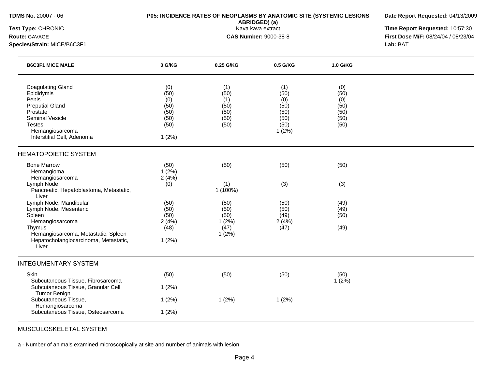| <b>TDMS No. 20007 - 06</b> |  |  |
|----------------------------|--|--|
|                            |  |  |

### **P05: INCIDENCE RATES OF NEOPLASMS BY ANATOMIC SITE (SYSTEMIC LESIONS**

**Date Report Requested:** 04/13/2009

**ABRIDGED) (a)**

**Species/Strain:** MICE/B6C3F1 **Lab:** BAT

**Test Type:** CHRONIC Kava kava extract **Time Report Requested:** 10:57:30 **Route:** GAVAGE **CAS Number:** 9000-38-8 **First Dose M/F:** 08/24/04 / 08/23/04

| <b>B6C3F1 MICE MALE</b>                                                                                                                                                    | 0 G/KG                                                      | 0.25 G/KG                                          | 0.5 G/KG                                                    | 1.0 G/KG                                           |  |
|----------------------------------------------------------------------------------------------------------------------------------------------------------------------------|-------------------------------------------------------------|----------------------------------------------------|-------------------------------------------------------------|----------------------------------------------------|--|
| <b>Coagulating Gland</b><br>Epididymis<br>Penis<br><b>Preputial Gland</b><br>Prostate<br>Seminal Vesicle<br><b>Testes</b><br>Hemangiosarcoma<br>Interstitial Cell, Adenoma | (0)<br>(50)<br>(0)<br>(50)<br>(50)<br>(50)<br>(50)<br>1(2%) | (1)<br>(50)<br>(1)<br>(50)<br>(50)<br>(50)<br>(50) | (1)<br>(50)<br>(0)<br>(50)<br>(50)<br>(50)<br>(50)<br>1(2%) | (0)<br>(50)<br>(0)<br>(50)<br>(50)<br>(50)<br>(50) |  |
| <b>HEMATOPOIETIC SYSTEM</b>                                                                                                                                                |                                                             |                                                    |                                                             |                                                    |  |
| <b>Bone Marrow</b>                                                                                                                                                         | (50)                                                        | (50)                                               | (50)                                                        | (50)                                               |  |
| Hemangioma<br>Hemangiosarcoma                                                                                                                                              | 1(2%)<br>2(4%)                                              |                                                    |                                                             |                                                    |  |
| Lymph Node<br>Pancreatic, Hepatoblastoma, Metastatic,                                                                                                                      | (0)                                                         | (1)<br>1 (100%)                                    | (3)                                                         | (3)                                                |  |
| Liver                                                                                                                                                                      |                                                             |                                                    |                                                             |                                                    |  |
| Lymph Node, Mandibular<br>Lymph Node, Mesenteric                                                                                                                           | (50)<br>(50)                                                | (50)<br>(50)                                       | (50)<br>(50)                                                | (49)<br>(49)                                       |  |
| Spleen                                                                                                                                                                     | (50)                                                        | (50)                                               | (49)                                                        | (50)                                               |  |
| Hemangiosarcoma                                                                                                                                                            | 2(4%)                                                       | 1(2%)                                              | 2(4%)                                                       |                                                    |  |
| Thymus<br>Hemangiosarcoma, Metastatic, Spleen                                                                                                                              | (48)                                                        | (47)<br>1(2%)                                      | (47)                                                        | (49)                                               |  |
| Hepatocholangiocarcinoma, Metastatic,<br>Liver                                                                                                                             | 1(2%)                                                       |                                                    |                                                             |                                                    |  |
| <b>INTEGUMENTARY SYSTEM</b>                                                                                                                                                |                                                             |                                                    |                                                             |                                                    |  |
| Skin                                                                                                                                                                       | (50)                                                        | (50)                                               | (50)                                                        | (50)                                               |  |
| Subcutaneous Tissue, Fibrosarcoma<br>Subcutaneous Tissue, Granular Cell                                                                                                    | 1(2%)                                                       |                                                    |                                                             | 1(2%)                                              |  |
| <b>Tumor Benign</b><br>Subcutaneous Tissue,                                                                                                                                | 1(2%)                                                       | 1(2%)                                              | 1(2%)                                                       |                                                    |  |
| Hemangiosarcoma                                                                                                                                                            |                                                             |                                                    |                                                             |                                                    |  |
| Subcutaneous Tissue, Osteosarcoma                                                                                                                                          | 1(2%)                                                       |                                                    |                                                             |                                                    |  |

MUSCULOSKELETAL SYSTEM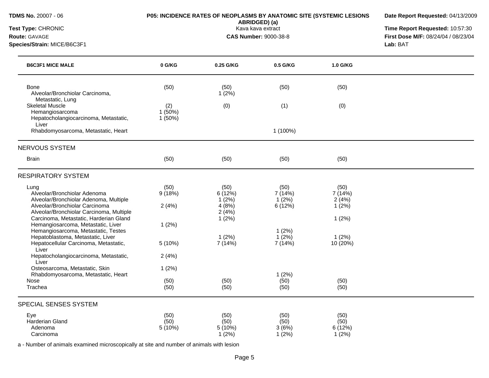| Test Type: CHRONIC<br>Route: GAVAGE<br>Species/Strain: MICE/B6C3F1                                                                                                                                     |                         | ABRIDGED) (a)<br>Kava kava extract<br><b>CAS Number: 9000-38-8</b> | Time Report Requested: 10:57:30<br>First Dose M/F: 08/24/04 / 08/23/04<br>Lab: BAT |                                            |  |
|--------------------------------------------------------------------------------------------------------------------------------------------------------------------------------------------------------|-------------------------|--------------------------------------------------------------------|------------------------------------------------------------------------------------|--------------------------------------------|--|
| <b>B6C3F1 MICE MALE</b>                                                                                                                                                                                | 0 G/KG                  | 0.25 G/KG                                                          | 0.5 G/KG                                                                           | 1.0 G/KG                                   |  |
| <b>Bone</b><br>Alveolar/Bronchiolar Carcinoma,<br>Metastatic, Lung                                                                                                                                     | (50)                    | (50)<br>1(2%)                                                      | (50)                                                                               | (50)                                       |  |
| <b>Skeletal Muscle</b><br>Hemangiosarcoma<br>Hepatocholangiocarcinoma, Metastatic,<br>Liver                                                                                                            | (2)<br>1(50%)<br>1(50%) | (0)                                                                | (1)                                                                                | (0)                                        |  |
| Rhabdomyosarcoma, Metastatic, Heart                                                                                                                                                                    |                         |                                                                    | 1 (100%)                                                                           |                                            |  |
| <b>NERVOUS SYSTEM</b>                                                                                                                                                                                  |                         |                                                                    |                                                                                    |                                            |  |
| <b>Brain</b>                                                                                                                                                                                           | (50)                    | (50)                                                               | (50)                                                                               | (50)                                       |  |
| <b>RESPIRATORY SYSTEM</b>                                                                                                                                                                              |                         |                                                                    |                                                                                    |                                            |  |
| Lung<br>Alveolar/Bronchiolar Adenoma<br>Alveolar/Bronchiolar Adenoma, Multiple<br>Alveolar/Bronchiolar Carcinoma<br>Alveolar/Bronchiolar Carcinoma, Multiple<br>Carcinoma, Metastatic, Harderian Gland | (50)<br>9(18%)<br>2(4%) | (50)<br>6(12%)<br>1(2%)<br>4(8%)<br>2(4%)<br>1(2%)                 | (50)<br>7 (14%)<br>1(2%)<br>6(12%)                                                 | (50)<br>7 (14%)<br>2(4%)<br>1(2%)<br>1(2%) |  |
| Hemangiosarcoma, Metastatic, Liver<br>Hemangiosarcoma, Metastatic, Testes<br>Hepatoblastoma, Metastatic, Liver<br>Hepatocellular Carcinoma, Metastatic,<br>Liver                                       | 1(2%)<br>5(10%)         | 1(2%)<br>7 (14%)                                                   | 1(2%)<br>$1(2\%)$<br>7 (14%)                                                       | 1(2%)<br>10 (20%)                          |  |
| Hepatocholangiocarcinoma, Metastatic,<br>Liver                                                                                                                                                         | 2(4%)                   |                                                                    |                                                                                    |                                            |  |
| Osteosarcoma, Metastatic, Skin<br>Rhabdomyosarcoma, Metastatic, Heart<br>Nose                                                                                                                          | 1(2%)<br>(50)           | (50)                                                               | 1(2%)<br>(50)                                                                      | (50)                                       |  |
| Trachea                                                                                                                                                                                                | (50)                    | (50)                                                               | (50)                                                                               | (50)                                       |  |
| SPECIAL SENSES SYSTEM                                                                                                                                                                                  |                         |                                                                    |                                                                                    |                                            |  |
| Eye<br>Harderian Gland<br>Adenoma<br>Carcinoma                                                                                                                                                         | (50)<br>(50)<br>5 (10%) | (50)<br>(50)<br>5(10%)<br>1(2%)                                    | (50)<br>(50)<br>3(6%)<br>$1(2\%)$                                                  | (50)<br>(50)<br>6 (12%)<br>1(2%)           |  |

**Date Report Requested:** 04/13/2009

**TDMS No.** 20007 - 06 **P05: INCIDENCE RATES OF NEOPLASMS BY ANATOMIC SITE (SYSTEMIC LESIONS**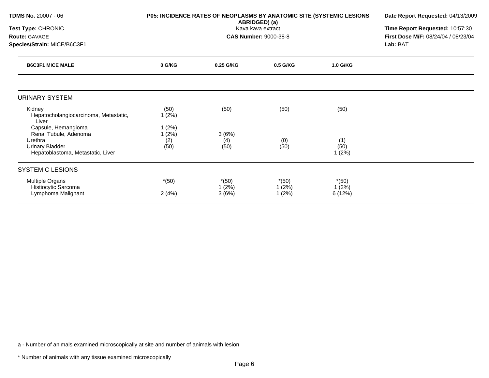| <b>TDMS No. 20007 - 06</b>                                                                                             | P05: INCIDENCE RATES OF NEOPLASMS BY ANATOMIC SITE (SYSTEMIC LESIONS | Date Report Requested: 04/13/2009 |                              |                      |                                     |
|------------------------------------------------------------------------------------------------------------------------|----------------------------------------------------------------------|-----------------------------------|------------------------------|----------------------|-------------------------------------|
| Test Type: CHRONIC                                                                                                     |                                                                      | Time Report Requested: 10:57:30   |                              |                      |                                     |
| <b>Route: GAVAGE</b>                                                                                                   |                                                                      |                                   | <b>CAS Number: 9000-38-8</b> |                      | First Dose M/F: 08/24/04 / 08/23/04 |
| Species/Strain: MICE/B6C3F1                                                                                            |                                                                      |                                   | Lab: BAT                     |                      |                                     |
| <b>B6C3F1 MICE MALE</b>                                                                                                | 0 G/KG                                                               | 0.25 G/KG                         | 0.5 G/KG                     | 1.0 G/KG             |                                     |
| <b>URINARY SYSTEM</b>                                                                                                  |                                                                      |                                   |                              |                      |                                     |
| Kidney<br>Hepatocholangiocarcinoma, Metastatic,<br>Liver                                                               | (50)<br>1(2%)                                                        | (50)                              | (50)                         | (50)                 |                                     |
| Capsule, Hemangioma<br>Renal Tubule, Adenoma<br>Urethra<br><b>Urinary Bladder</b><br>Hepatoblastoma, Metastatic, Liver | 1(2%)<br>1(2%)<br>(2)<br>(50)                                        | 3(6%)<br>(4)<br>(50)              | (0)<br>(50)                  | (1)<br>(50)<br>1(2%) |                                     |
| <b>SYSTEMIC LESIONS</b>                                                                                                |                                                                      |                                   |                              |                      |                                     |
| <b>Multiple Organs</b><br>Histiocytic Sarcoma                                                                          | $*(50)$                                                              | $*(50)$<br>(2%)                   | $*(50)$<br>1(2%)             | $*(50)$<br>1(2%)     |                                     |
| Lymphoma Malignant                                                                                                     | 2(4%)                                                                | 3(6%)                             | 1(2%)                        | 6 (12%)              |                                     |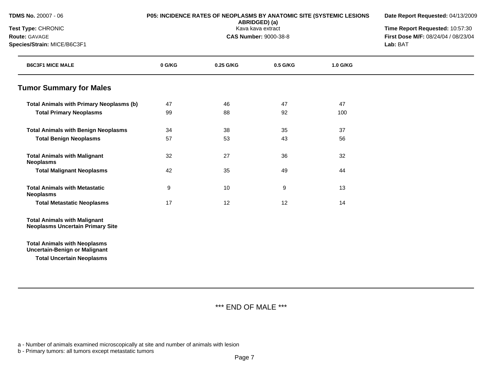| <b>TDMS No. 20007 - 06</b>                                                     |        | P05: INCIDENCE RATES OF NEOPLASMS BY ANATOMIC SITE (SYSTEMIC LESIONS<br>ABRIDGED) (a) | Date Report Requested: 04/13/2009<br>Time Report Requested: 10:57:30 |          |                                     |
|--------------------------------------------------------------------------------|--------|---------------------------------------------------------------------------------------|----------------------------------------------------------------------|----------|-------------------------------------|
| Test Type: CHRONIC                                                             |        | Kava kava extract                                                                     |                                                                      |          |                                     |
| Route: GAVAGE                                                                  |        |                                                                                       | <b>CAS Number: 9000-38-8</b>                                         |          | First Dose M/F: 08/24/04 / 08/23/04 |
| Species/Strain: MICE/B6C3F1                                                    |        |                                                                                       |                                                                      |          | Lab: BAT                            |
| <b>B6C3F1 MICE MALE</b>                                                        | 0 G/KG | 0.25 G/KG                                                                             | 0.5 G/KG                                                             | 1.0 G/KG |                                     |
| <b>Tumor Summary for Males</b>                                                 |        |                                                                                       |                                                                      |          |                                     |
| <b>Total Animals with Primary Neoplasms (b)</b>                                | 47     | 46                                                                                    | 47                                                                   | 47       |                                     |
| <b>Total Primary Neoplasms</b>                                                 | 99     | 88                                                                                    | 92                                                                   | 100      |                                     |
| <b>Total Animals with Benign Neoplasms</b>                                     | 34     | 38                                                                                    | 35                                                                   | 37       |                                     |
| <b>Total Benign Neoplasms</b>                                                  | 57     | 53                                                                                    | 43                                                                   | 56       |                                     |
| <b>Total Animals with Malignant</b><br><b>Neoplasms</b>                        | 32     | 27                                                                                    | 36                                                                   | 32       |                                     |
| <b>Total Malignant Neoplasms</b>                                               | 42     | 35                                                                                    | 49                                                                   | 44       |                                     |
| <b>Total Animals with Metastatic</b><br><b>Neoplasms</b>                       | 9      | 10                                                                                    | 9                                                                    | 13       |                                     |
| <b>Total Metastatic Neoplasms</b>                                              | 17     | 12                                                                                    | 12                                                                   | 14       |                                     |
| <b>Total Animals with Malignant</b><br><b>Neoplasms Uncertain Primary Site</b> |        |                                                                                       |                                                                      |          |                                     |
| <b>Total Animals with Neoplasms</b><br><b>Uncertain-Benign or Malignant</b>    |        |                                                                                       |                                                                      |          |                                     |
| <b>Total Uncertain Neoplasms</b>                                               |        |                                                                                       |                                                                      |          |                                     |
|                                                                                |        |                                                                                       |                                                                      |          |                                     |

# \*\*\* END OF MALE \*\*\*

a - Number of animals examined microscopically at site and number of animals with lesion

b - Primary tumors: all tumors except metastatic tumors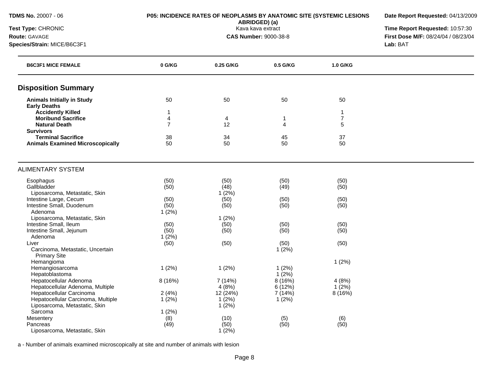| <b>TDMS No. 20007 - 06</b>                              | P05: INCIDENCE RATES OF NEOPLASMS BY ANATOMIC SITE (SYSTEMIC LESIONS | Date Report Requested: 04/13/2009 |                              |                |                                     |
|---------------------------------------------------------|----------------------------------------------------------------------|-----------------------------------|------------------------------|----------------|-------------------------------------|
| Test Type: CHRONIC                                      |                                                                      | Time Report Requested: 10:57:30   |                              |                |                                     |
| Route: GAVAGE                                           |                                                                      |                                   | <b>CAS Number: 9000-38-8</b> |                | First Dose M/F: 08/24/04 / 08/23/04 |
| Species/Strain: MICE/B6C3F1                             |                                                                      |                                   | Lab: BAT                     |                |                                     |
| <b>B6C3F1 MICE FEMALE</b>                               | 0 G/KG                                                               | 0.25 G/KG                         | 0.5 G/KG                     | 1.0 G/KG       |                                     |
| <b>Disposition Summary</b>                              |                                                                      |                                   |                              |                |                                     |
| <b>Animals Initially in Study</b>                       | 50                                                                   | 50                                | 50                           | 50             |                                     |
| <b>Early Deaths</b>                                     |                                                                      |                                   |                              |                |                                     |
| <b>Accidently Killed</b>                                | 1                                                                    |                                   |                              | $\mathbf 1$    |                                     |
| <b>Moribund Sacrifice</b>                               | 4                                                                    | 4                                 | $\mathbf{1}$                 | $\overline{7}$ |                                     |
| <b>Natural Death</b>                                    | $\overline{7}$                                                       | 12                                | 4                            | 5              |                                     |
| <b>Survivors</b><br><b>Terminal Sacrifice</b>           |                                                                      |                                   | 45                           | 37             |                                     |
| <b>Animals Examined Microscopically</b>                 | 38<br>50                                                             | 34<br>50                          | 50                           | 50             |                                     |
|                                                         |                                                                      |                                   |                              |                |                                     |
| <b>ALIMENTARY SYSTEM</b>                                |                                                                      |                                   |                              |                |                                     |
| Esophagus                                               | (50)                                                                 | (50)                              | (50)                         | (50)           |                                     |
| Gallbladder                                             | (50)                                                                 | (48)                              | (49)                         | (50)           |                                     |
| Liposarcoma, Metastatic, Skin                           |                                                                      | 1(2%)                             |                              |                |                                     |
| Intestine Large, Cecum                                  | (50)                                                                 | (50)                              | (50)                         | (50)           |                                     |
| Intestine Small, Duodenum                               | (50)                                                                 | (50)                              | (50)                         | (50)           |                                     |
| Adenoma                                                 | 1(2%)                                                                |                                   |                              |                |                                     |
| Liposarcoma, Metastatic, Skin                           |                                                                      | 1(2%)                             |                              |                |                                     |
| Intestine Small, Ileum                                  | (50)                                                                 | (50)                              | (50)                         | (50)           |                                     |
| Intestine Small, Jejunum                                | (50)                                                                 | (50)                              | (50)                         | (50)           |                                     |
| Adenoma                                                 | $1(2\%)$                                                             |                                   |                              |                |                                     |
| Liver                                                   | (50)                                                                 | (50)                              | (50)                         | (50)           |                                     |
| Carcinoma, Metastatic, Uncertain<br><b>Primary Site</b> |                                                                      |                                   | 1(2%)                        |                |                                     |
| Hemangioma                                              |                                                                      |                                   |                              | 1(2%)          |                                     |
| Hemangiosarcoma                                         | 1(2%)                                                                | 1(2%)                             | 1(2%)                        |                |                                     |
| Hepatoblastoma                                          |                                                                      |                                   | $1(2\%)$                     |                |                                     |
| Hepatocellular Adenoma                                  | 8 (16%)                                                              | 7 (14%)                           | 8(16%)                       | 4(8%)          |                                     |
| Hepatocellular Adenoma, Multiple                        |                                                                      | 4(8%)                             | 6(12%)                       | $1(2\%)$       |                                     |
| Hepatocellular Carcinoma                                | 2(4%)                                                                | 12 (24%)                          | 7 (14%)                      | 8(16%)         |                                     |
| Hepatocellular Carcinoma, Multiple                      | 1(2%)                                                                | $1(2\%)$                          | 1(2%)                        |                |                                     |
| Liposarcoma, Metastatic, Skin                           |                                                                      | $1(2\%)$                          |                              |                |                                     |
| Sarcoma                                                 | 1(2%)                                                                |                                   |                              |                |                                     |
| Mesentery                                               | (8)                                                                  | (10)                              | (5)                          | (6)            |                                     |
| Pancreas                                                | (49)                                                                 | (50)                              | (50)                         | (50)           |                                     |
| Liposarcoma, Metastatic, Skin                           |                                                                      | 1(2%)                             |                              |                |                                     |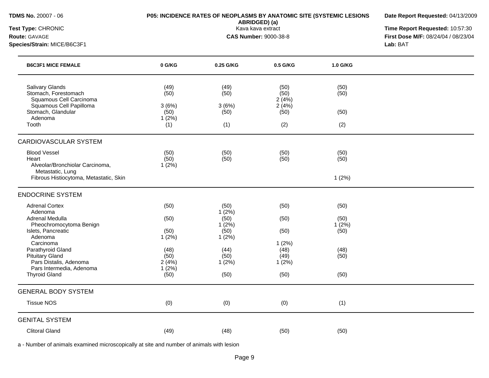| <b>TDMS No. 20007 - 06</b> |  |  |
|----------------------------|--|--|
|                            |  |  |

### **P05: INCIDENCE RATES OF NEOPLASMS BY ANATOMIC SITE (SYSTEMIC LESIONS**

**Date Report Requested:** 04/13/2009

**ABRIDGED) (a)**

**Species/Strain:** MICE/B6C3F1 **Lab:** BAT

**Test Type:** CHRONIC Kava kava extract **Time Report Requested:** 10:57:30 **Route:** GAVAGE **CAS Number:** 9000-38-8 **First Dose M/F:** 08/24/04 / 08/23/04

| <b>B6C3F1 MICE FEMALE</b>                                                                                                               | 0 G/KG                                        | 0.25 G/KG                            | 0.5 G/KG                                      | 1.0 G/KG                    |  |
|-----------------------------------------------------------------------------------------------------------------------------------------|-----------------------------------------------|--------------------------------------|-----------------------------------------------|-----------------------------|--|
| Salivary Glands<br>Stomach, Forestomach<br>Squamous Cell Carcinoma<br>Squamous Cell Papilloma<br>Stomach, Glandular<br>Adenoma<br>Tooth | (49)<br>(50)<br>3(6%)<br>(50)<br>1(2%)<br>(1) | (49)<br>(50)<br>3(6%)<br>(50)<br>(1) | (50)<br>(50)<br>2(4%)<br>2(4%)<br>(50)<br>(2) | (50)<br>(50)<br>(50)<br>(2) |  |
|                                                                                                                                         |                                               |                                      |                                               |                             |  |
| <b>CARDIOVASCULAR SYSTEM</b>                                                                                                            |                                               |                                      |                                               |                             |  |
| <b>Blood Vessel</b><br>Heart<br>Alveolar/Bronchiolar Carcinoma,                                                                         | (50)<br>(50)<br>1(2%)                         | (50)<br>(50)                         | (50)<br>(50)                                  | (50)<br>(50)                |  |
| Metastatic, Lung<br>Fibrous Histiocytoma, Metastatic, Skin                                                                              |                                               |                                      |                                               | 1(2%)                       |  |
| <b>ENDOCRINE SYSTEM</b>                                                                                                                 |                                               |                                      |                                               |                             |  |
| <b>Adrenal Cortex</b><br>Adenoma                                                                                                        | (50)                                          | (50)<br>1(2%)                        | (50)                                          | (50)                        |  |
| Adrenal Medulla                                                                                                                         | (50)                                          | (50)                                 | (50)                                          | (50)                        |  |
| Pheochromocytoma Benign<br>Islets, Pancreatic                                                                                           | (50)                                          | 1(2%)<br>(50)                        | (50)                                          | 1(2%)<br>(50)               |  |
| Adenoma                                                                                                                                 | 1(2%)                                         | 1(2%)                                |                                               |                             |  |
| Carcinoma<br>Parathyroid Gland                                                                                                          | (48)                                          | (44)                                 | 1(2%)<br>(48)                                 | (48)                        |  |
| <b>Pituitary Gland</b><br>Pars Distalis, Adenoma                                                                                        | (50)<br>2(4%)                                 | (50)                                 | (49)                                          | (50)                        |  |
| Pars Intermedia, Adenoma                                                                                                                | 1(2%)                                         | 1(2%)                                | 1(2%)                                         |                             |  |
| <b>Thyroid Gland</b>                                                                                                                    | (50)                                          | (50)                                 | (50)                                          | (50)                        |  |
| <b>GENERAL BODY SYSTEM</b>                                                                                                              |                                               |                                      |                                               |                             |  |
| <b>Tissue NOS</b>                                                                                                                       | (0)                                           | (0)                                  | (0)                                           | (1)                         |  |
| <b>GENITAL SYSTEM</b>                                                                                                                   |                                               |                                      |                                               |                             |  |
| <b>Clitoral Gland</b>                                                                                                                   | (49)                                          | (48)                                 | (50)                                          | (50)                        |  |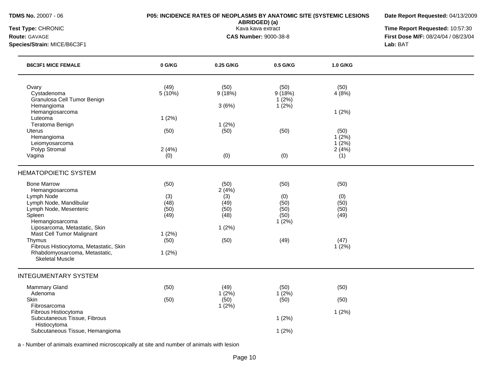## **TDMS No.** 20007 - 06 **P05: INCIDENCE RATES OF NEOPLASMS BY ANATOMIC SITE (SYSTEMIC LESIONS**

**ABRIDGED) (a)**

**Date Report Requested:** 04/13/2009

**Test Type:** CHRONIC **Transfer CHRONIC Report Requested:** 10:57:30 **Route:** GAVAGE **CAS Number:** 9000-38-8 **First Dose M/F:** 08/24/04 / 08/23/04

**Species/Strain:** MICE/B6C3F1 **Lab:** BAT

| <b>B6C3F1 MICE FEMALE</b>                                                                                                                                                                                                                                                                                                                        | 0 G/KG                                                        | 0.25 G/KG                                                     | 0.5 G/KG                                                | 1.0 G/KG                                             |  |
|--------------------------------------------------------------------------------------------------------------------------------------------------------------------------------------------------------------------------------------------------------------------------------------------------------------------------------------------------|---------------------------------------------------------------|---------------------------------------------------------------|---------------------------------------------------------|------------------------------------------------------|--|
| Ovary<br>Cystadenoma<br>Granulosa Cell Tumor Benign<br>Hemangioma<br>Hemangiosarcoma                                                                                                                                                                                                                                                             | (49)<br>$5(10\%)$                                             | (50)<br>9(18%)<br>3(6%)                                       | (50)<br>9(18%)<br>1(2%)<br>$1(2\%)$                     | (50)<br>4(8%)<br>1(2%)                               |  |
| Luteoma<br>Teratoma Benign<br>Uterus<br>Hemangioma<br>Leiomyosarcoma<br>Polyp Stromal                                                                                                                                                                                                                                                            | 1(2%)<br>(50)<br>2(4%)                                        | 1(2%)<br>(50)                                                 | (50)                                                    | (50)<br>1(2%)<br>1(2%)<br>2(4%)                      |  |
| Vagina                                                                                                                                                                                                                                                                                                                                           | (0)                                                           | (0)                                                           | (0)                                                     | (1)                                                  |  |
| <b>HEMATOPOIETIC SYSTEM</b><br><b>Bone Marrow</b><br>Hemangiosarcoma<br>Lymph Node<br>Lymph Node, Mandibular<br>Lymph Node, Mesenteric<br>Spleen<br>Hemangiosarcoma<br>Liposarcoma, Metastatic, Skin<br>Mast Cell Tumor Malignant<br>Thymus<br>Fibrous Histiocytoma, Metastatic, Skin<br>Rhabdomyosarcoma, Metastatic,<br><b>Skeletal Muscle</b> | (50)<br>(3)<br>(48)<br>(50)<br>(49)<br>1(2%)<br>(50)<br>1(2%) | (50)<br>2(4%)<br>(3)<br>(49)<br>(50)<br>(48)<br>1(2%)<br>(50) | (50)<br>(0)<br>(50)<br>(50)<br>(50)<br>$1(2\%)$<br>(49) | (50)<br>(0)<br>(50)<br>(50)<br>(49)<br>(47)<br>1(2%) |  |
| <b>INTEGUMENTARY SYSTEM</b><br><b>Mammary Gland</b><br>Adenoma<br>Skin<br>Fibrosarcoma<br>Fibrous Histiocytoma<br>Subcutaneous Tissue, Fibrous<br>Histiocytoma<br>Subcutaneous Tissue, Hemangioma                                                                                                                                                | (50)<br>(50)                                                  | (49)<br>1(2%)<br>(50)<br>1(2%)                                | (50)<br>1(2%)<br>(50)<br>1(2%)<br>1(2%)                 | (50)<br>(50)<br>1(2%)                                |  |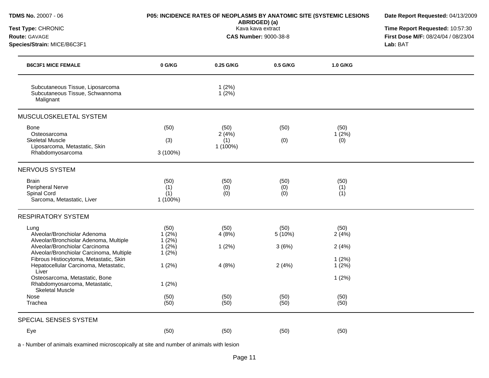| <b>TDMS No. 20007 - 06</b>                                                                                 | P05: INCIDENCE RATES OF NEOPLASMS BY ANATOMIC SITE (SYSTEMIC LESIONS | Date Report Requested: 04/13/2009<br>Time Report Requested: 10:57:30<br>First Dose M/F: 08/24/04 / 08/23/04<br>Lab: BAT |                    |                      |  |
|------------------------------------------------------------------------------------------------------------|----------------------------------------------------------------------|-------------------------------------------------------------------------------------------------------------------------|--------------------|----------------------|--|
| Test Type: CHRONIC<br>Route: GAVAGE<br>Species/Strain: MICE/B6C3F1                                         |                                                                      |                                                                                                                         |                    |                      |  |
| <b>B6C3F1 MICE FEMALE</b>                                                                                  | 0 G/KG                                                               | 0.25 G/KG                                                                                                               | 0.5 G/KG           | 1.0 G/KG             |  |
| Subcutaneous Tissue, Liposarcoma<br>Subcutaneous Tissue, Schwannoma<br>Malignant                           |                                                                      | 1(2%)<br>1(2%)                                                                                                          |                    |                      |  |
| MUSCULOSKELETAL SYSTEM                                                                                     |                                                                      |                                                                                                                         |                    |                      |  |
| <b>Bone</b><br>Osteosarcoma<br><b>Skeletal Muscle</b><br>Liposarcoma, Metastatic, Skin<br>Rhabdomyosarcoma | (50)<br>(3)<br>$3(100\%)$                                            | (50)<br>2(4%)<br>(1)<br>1 (100%)                                                                                        | (50)<br>(0)        | (50)<br>1(2%)<br>(0) |  |
| NERVOUS SYSTEM                                                                                             |                                                                      |                                                                                                                         |                    |                      |  |
| <b>Brain</b><br>Peripheral Nerve<br>Spinal Cord<br>Sarcoma, Metastatic, Liver                              | (50)<br>(1)<br>(1)<br>1 (100%)                                       | (50)<br>(0)<br>(0)                                                                                                      | (50)<br>(0)<br>(0) | (50)<br>(1)<br>(1)   |  |
| <b>RESPIRATORY SYSTEM</b>                                                                                  |                                                                      |                                                                                                                         |                    |                      |  |
| Lung<br>Alveolar/Bronchiolar Adenoma<br>Alveolar/Bronchiolar Adenoma, Multiple                             | (50)<br>1(2%)<br>1(2%)                                               | (50)<br>4(8%)                                                                                                           | (50)<br>5(10%)     | (50)<br>2(4%)        |  |
| Alveolar/Bronchiolar Carcinoma<br>Alveolar/Bronchiolar Carcinoma, Multiple                                 | 1(2%)<br>1(2%)                                                       | 1(2%)                                                                                                                   | 3(6%)              | 2(4%)                |  |
| Fibrous Histiocytoma, Metastatic, Skin<br>Hepatocellular Carcinoma, Metastatic,<br>Liver                   | 1(2%)                                                                | 4(8%)                                                                                                                   | 2(4%)              | 1(2%)<br>1(2%)       |  |
| Osteosarcoma, Metastatic, Bone<br>Rhabdomyosarcoma, Metastatic,<br><b>Skeletal Muscle</b>                  | 1(2%)                                                                |                                                                                                                         |                    | 1(2%)                |  |
| Nose<br>Trachea                                                                                            | (50)<br>(50)                                                         | (50)<br>(50)                                                                                                            | (50)<br>(50)       | (50)<br>(50)         |  |
| SPECIAL SENSES SYSTEM                                                                                      |                                                                      |                                                                                                                         |                    |                      |  |
| Eye                                                                                                        | (50)                                                                 | (50)                                                                                                                    | (50)               | (50)                 |  |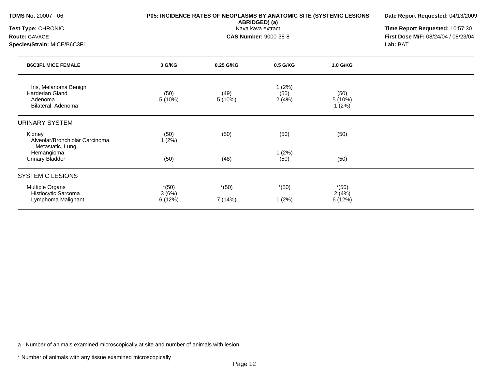| <b>TDMS No. 20007 - 06</b>                                                       | P05: INCIDENCE RATES OF NEOPLASMS BY ANATOMIC SITE (SYSTEMIC LESIONS | Date Report Requested: 04/13/2009<br>Time Report Requested: 10:57:30<br>First Dose M/F: 08/24/04 / 08/23/04 |                        |                             |          |
|----------------------------------------------------------------------------------|----------------------------------------------------------------------|-------------------------------------------------------------------------------------------------------------|------------------------|-----------------------------|----------|
| Test Type: CHRONIC<br><b>Route: GAVAGE</b>                                       |                                                                      |                                                                                                             |                        |                             |          |
| Species/Strain: MICE/B6C3F1                                                      |                                                                      |                                                                                                             |                        |                             | Lab: BAT |
| <b>B6C3F1 MICE FEMALE</b>                                                        | 0 G/KG                                                               | 0.25 G/KG                                                                                                   | 0.5 G/KG               | 1.0 G/KG                    |          |
| Iris, Melanoma Benign<br><b>Harderian Gland</b><br>Adenoma<br>Bilateral, Adenoma | (50)<br>5(10%)                                                       | (49)<br>5 (10%)                                                                                             | 1(2%)<br>(50)<br>2(4%) | (50)<br>5(10%)<br>1(2%)     |          |
| <b>URINARY SYSTEM</b>                                                            |                                                                      |                                                                                                             |                        |                             |          |
| Kidney<br>Alveolar/Bronchiolar Carcinoma,<br>Metastatic, Lung                    | (50)<br>1(2%)                                                        | (50)                                                                                                        | (50)                   | (50)                        |          |
| Hemangioma<br><b>Urinary Bladder</b>                                             | (50)                                                                 | (48)                                                                                                        | 1(2%)<br>(50)          | (50)                        |          |
| <b>SYSTEMIC LESIONS</b>                                                          |                                                                      |                                                                                                             |                        |                             |          |
| Multiple Organs<br>Histiocytic Sarcoma<br>Lymphoma Malignant                     | $*(50)$<br>3(6%)<br>6(12%)                                           | $*(50)$<br>7 (14%)                                                                                          | $*(50)$<br>1(2%)       | $*(50)$<br>2(4%)<br>6 (12%) |          |